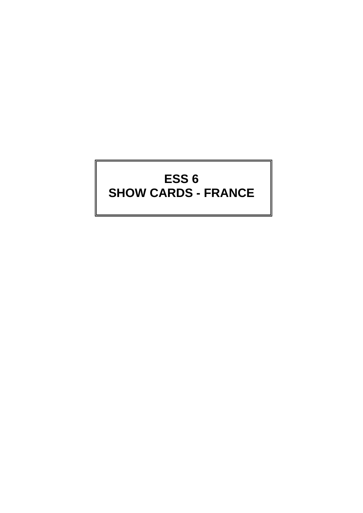# **ESS 6 SHOW CARDS - FRANCE**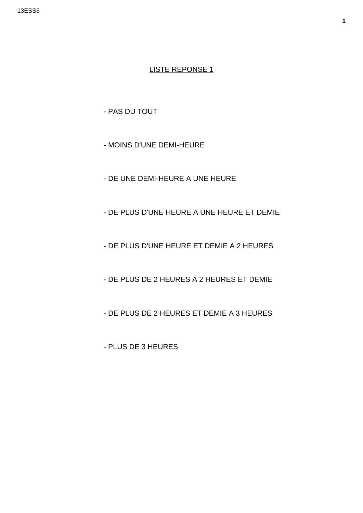- PAS DU TOUT

- MOINS D'UNE DEMI-HEURE
- DE UNE DEMI-HEURE A UNE HEURE
- DE PLUS D'UNE HEURE A UNE HEURE ET DEMIE
- DE PLUS D'UNE HEURE ET DEMIE A 2 HEURES
- DE PLUS DE 2 HEURES A 2 HEURES ET DEMIE
- DE PLUS DE 2 HEURES ET DEMIE A 3 HEURES

- PLUS DE 3 HEURES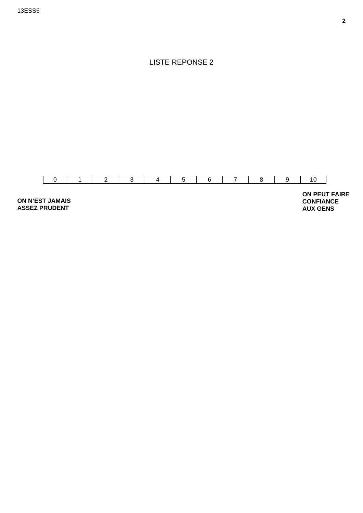

**ASSEZ PRUDENT** 

**AUX GENS**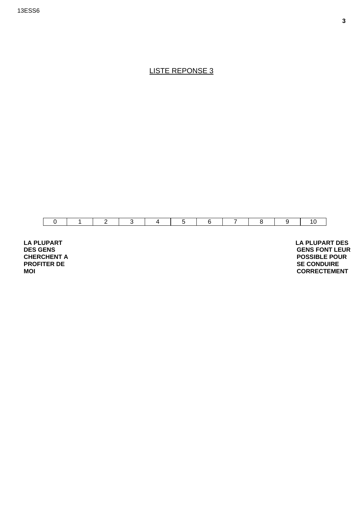

**LA PLUPART DES GENS CHERCHENT A PROFITER DE MOI** 

 **LA PLUPART DES GENS FONT LEUR POSSIBLE POUR SE CONDUIRE CORRECTEMENT**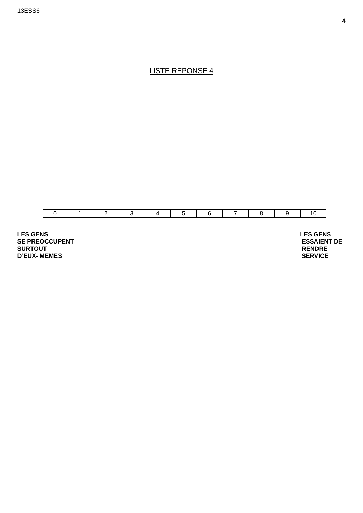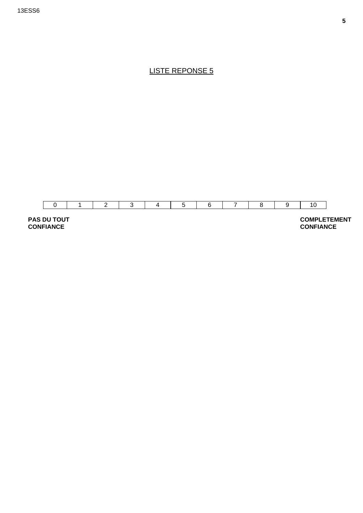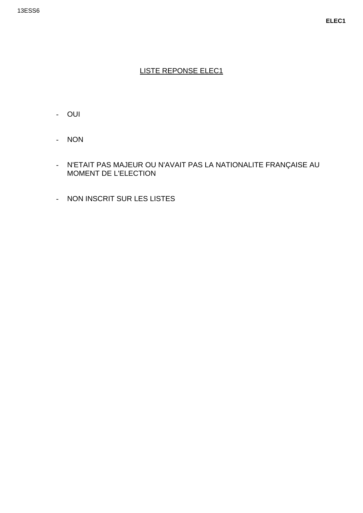- OUI
- NON
- N'ETAIT PAS MAJEUR OU N'AVAIT PAS LA NATIONALITE FRANÇAISE AU MOMENT DE L'ELECTION
- NON INSCRIT SUR LES LISTES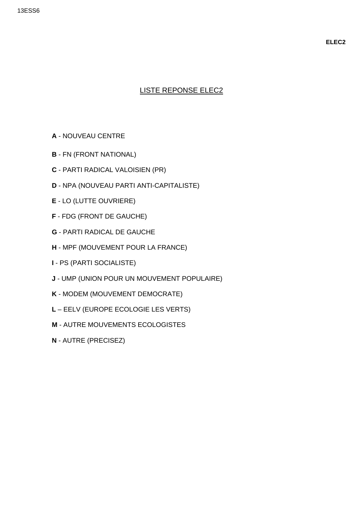- **A** NOUVEAU CENTRE
- **B** FN (FRONT NATIONAL)
- **C** PARTI RADICAL VALOISIEN (PR)
- **D** NPA (NOUVEAU PARTI ANTI-CAPITALISTE)
- **E** LO (LUTTE OUVRIERE)
- **F** FDG (FRONT DE GAUCHE)
- **G** PARTI RADICAL DE GAUCHE
- **H** MPF (MOUVEMENT POUR LA FRANCE)
- **I** PS (PARTI SOCIALISTE)
- **J** UMP (UNION POUR UN MOUVEMENT POPULAIRE)
- **K** MODEM (MOUVEMENT DEMOCRATE)
- **L** EELV (EUROPE ECOLOGIE LES VERTS)
- **M** AUTRE MOUVEMENTS ECOLOGISTES
- **N** AUTRE (PRECISEZ)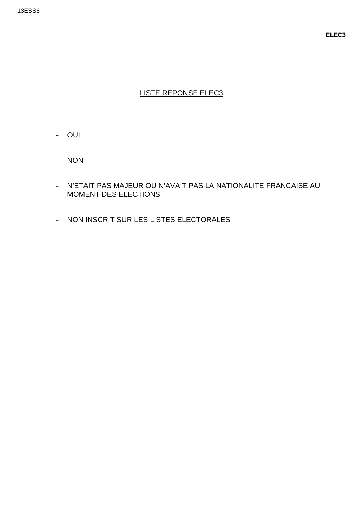- OUI
- NON
- N'ETAIT PAS MAJEUR OU N'AVAIT PAS LA NATIONALITE FRANCAISE AU MOMENT DES ELECTIONS
- NON INSCRIT SUR LES LISTES ELECTORALES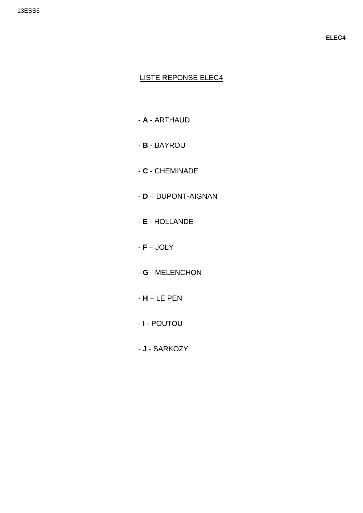- A ARTHAUD
- B BAYROU
- $-$  C  $-$  CHEMINADE
- D DUPONT-AIGNAN
- E HOLLANDE
- $F JOLY$
- G MELENCHON
- $-H LE$  PEN
- I POUTOU
- J SARKOZY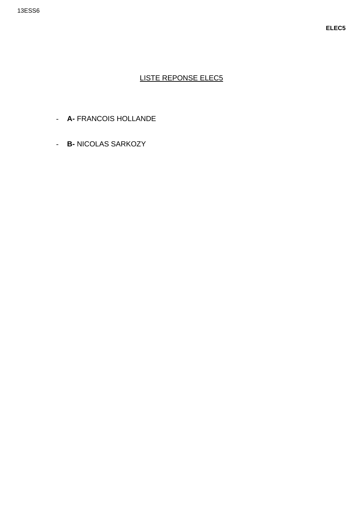- A- FRANCOIS HOLLANDE
- B- NICOLAS SARKOZY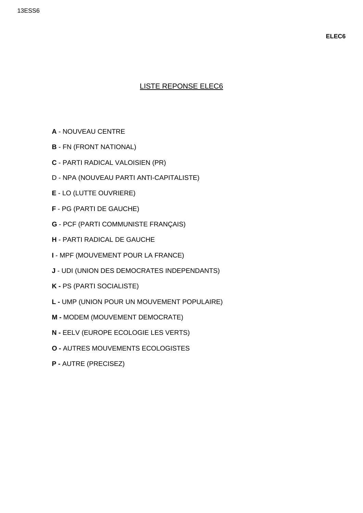- **A** NOUVEAU CENTRE
- **B** FN (FRONT NATIONAL)
- **C** PARTI RADICAL VALOISIEN (PR)
- D NPA (NOUVEAU PARTI ANTI-CAPITALISTE)
- **E**  LO (LUTTE OUVRIERE)
- **F** PG (PARTI DE GAUCHE)
- **G**  PCF (PARTI COMMUNISTE FRANÇAIS)
- **H** PARTI RADICAL DE GAUCHE
- **I** MPF (MOUVEMENT POUR LA FRANCE)
- **J** UDI (UNION DES DEMOCRATES INDEPENDANTS)
- **K** PS (PARTI SOCIALISTE)
- **L -** UMP (UNION POUR UN MOUVEMENT POPULAIRE)
- **M** MODEM (MOUVEMENT DEMOCRATE)
- **N -** EELV (EUROPE ECOLOGIE LES VERTS)
- **O -** AUTRES MOUVEMENTS ECOLOGISTES
- **P -** AUTRE (PRECISEZ)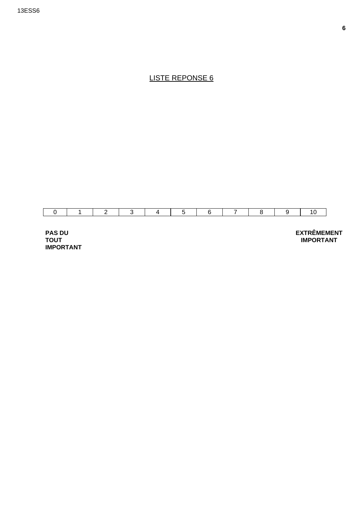

**PAS DU TOUT IMPORTANT**  **EXTRÊMEMENT IMPORTANT**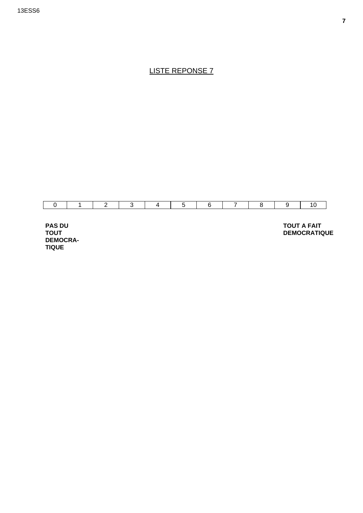

**PAS DU TOUT DEMOCRA-TIQUE** 

**TOUT A FAIT DEMOCRATIQUE**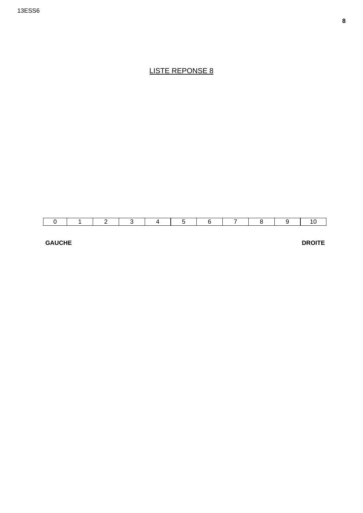#### **GAUCHE**

**DROITE**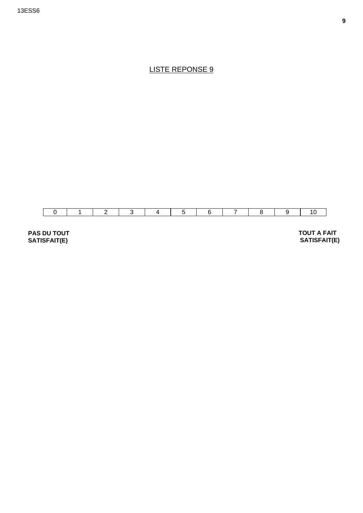

**PAS DU TOUT SATISFAIT(E)** 

 **TOUT A FAIT SATISFAIT(E)**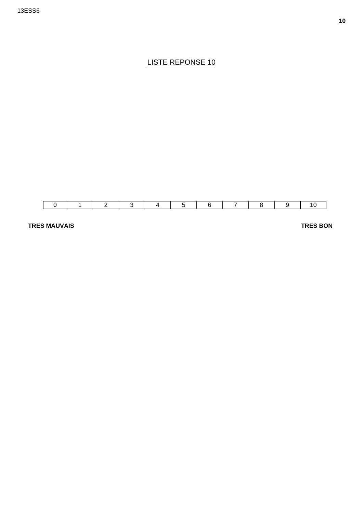

**TRES MAUVAIS** 

**TRES BON**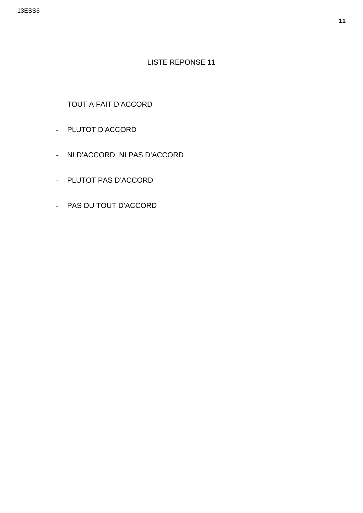- TOUT A FAIT D'ACCORD
- PLUTOT D'ACCORD
- NI D'ACCORD, NI PAS D'ACCORD
- PLUTOT PAS D'ACCORD
- PAS DU TOUT D'ACCORD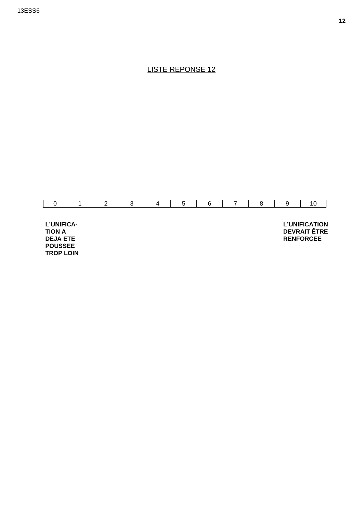

L'UNIFICA-**TION A DEJA ETE POUSSEE TROP LOIN**  **L'UNIFICATION DEVRAIT ÊTRE RENFORCEE**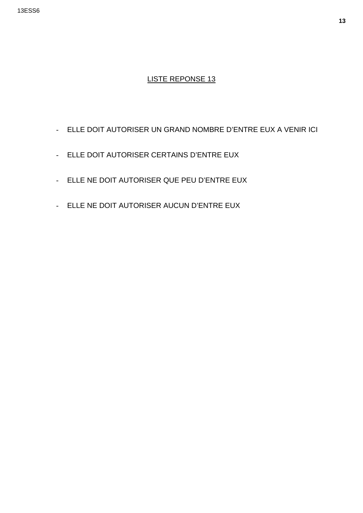- ELLE DOIT AUTORISER UN GRAND NOMBRE D'ENTRE EUX A VENIR ICI
- ELLE DOIT AUTORISER CERTAINS D'ENTRE EUX
- ELLE NE DOIT AUTORISER QUE PEU D'ENTRE EUX
- ELLE NE DOIT AUTORISER AUCUN D'ENTRE EUX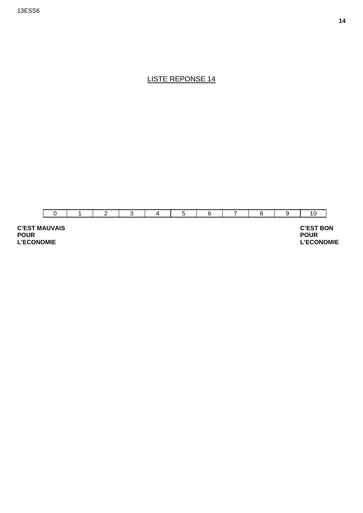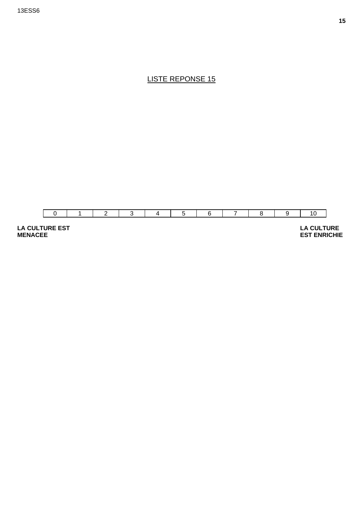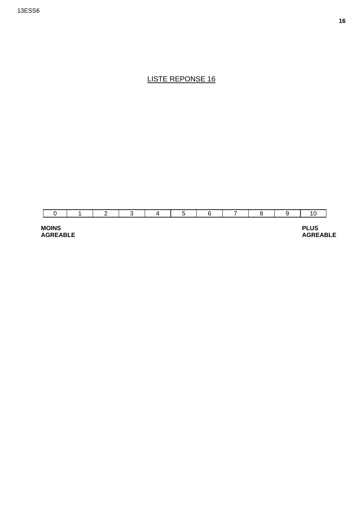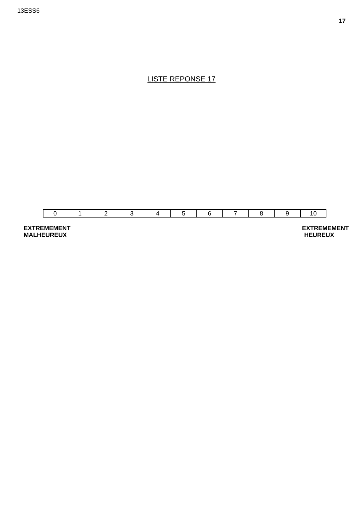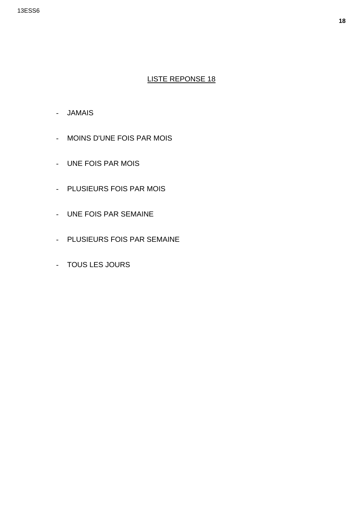- JAMAIS
- MOINS D'UNE FOIS PAR MOIS
- UNE FOIS PAR MOIS
- PLUSIEURS FOIS PAR MOIS
- UNE FOIS PAR SEMAINE
- PLUSIEURS FOIS PAR SEMAINE
- TOUS LES JOURS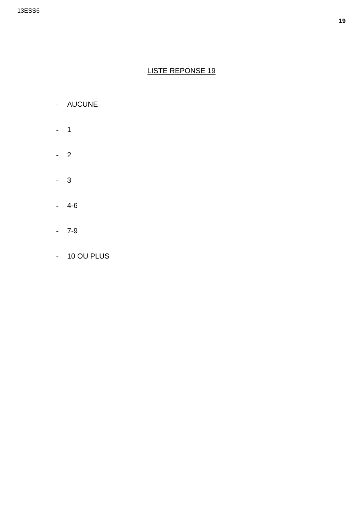- AUCUNE
- $-1$
- $-2$
- $-3$
- $-4-6$
- $-7-9$
- 10 OU PLUS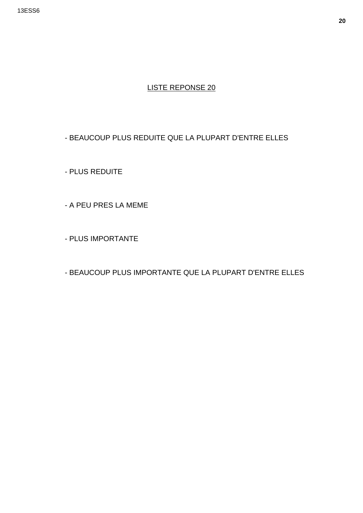#### - BEAUCOUP PLUS REDUITE QUE LA PLUPART D'ENTRE ELLES

- PLUS REDUITE

- A PEU PRES LA MEME

- PLUS IMPORTANTE

- BEAUCOUP PLUS IMPORTANTE QUE LA PLUPART D'ENTRE ELLES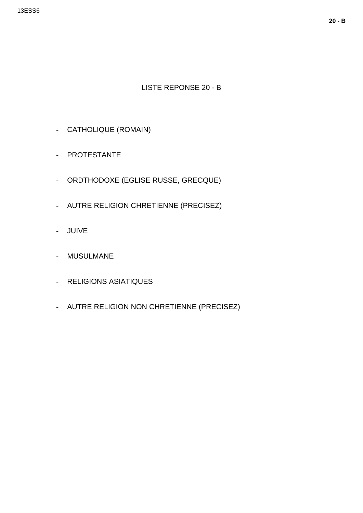#### LISTE REPONSE 20 - B

- CATHOLIQUE (ROMAIN)
- PROTESTANTE
- ORDTHODOXE (EGLISE RUSSE, GRECQUE)
- AUTRE RELIGION CHRETIENNE (PRECISEZ)
- JUIVE
- MUSULMANE
- RELIGIONS ASIATIQUES
- AUTRE RELIGION NON CHRETIENNE (PRECISEZ)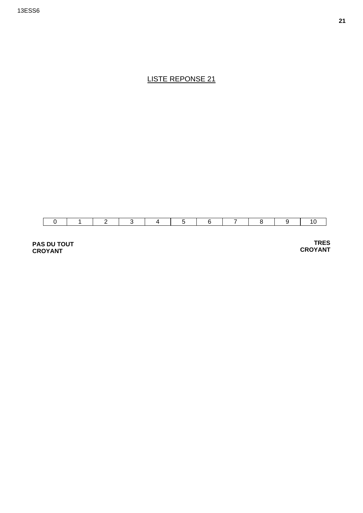

**PAS DU TOUT CROYANT** 

 **TRES CROYANT**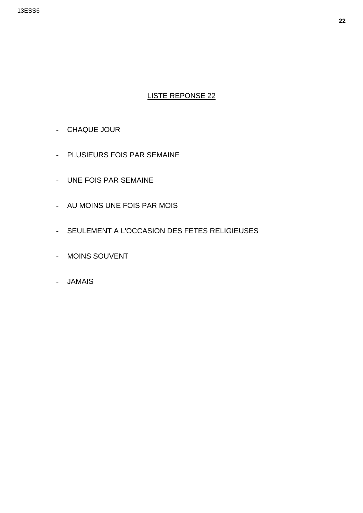- CHAQUE JOUR
- PLUSIEURS FOIS PAR SEMAINE
- UNE FOIS PAR SEMAINE
- AU MOINS UNE FOIS PAR MOIS
- SEULEMENT A L'OCCASION DES FETES RELIGIEUSES
- MOINS SOUVENT
- JAMAIS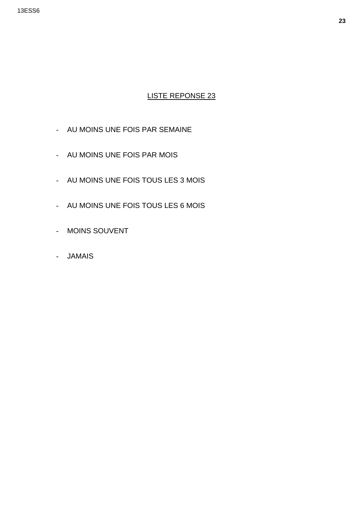- AU MOINS UNE FOIS PAR SEMAINE
- AU MOINS UNE FOIS PAR MOIS
- AU MOINS UNE FOIS TOUS LES 3 MOIS
- AU MOINS UNE FOIS TOUS LES 6 MOIS
- MOINS SOUVENT
- JAMAIS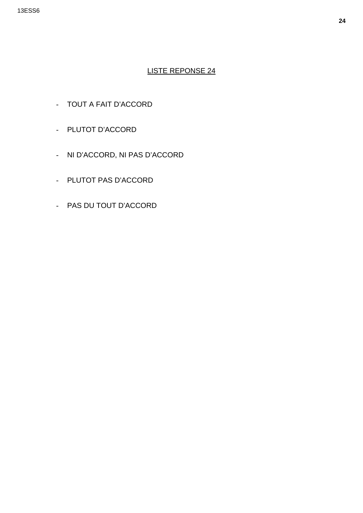- TOUT A FAIT D'ACCORD
- PLUTOT D'ACCORD
- NI D'ACCORD, NI PAS D'ACCORD
- PLUTOT PAS D'ACCORD
- PAS DU TOUT D'ACCORD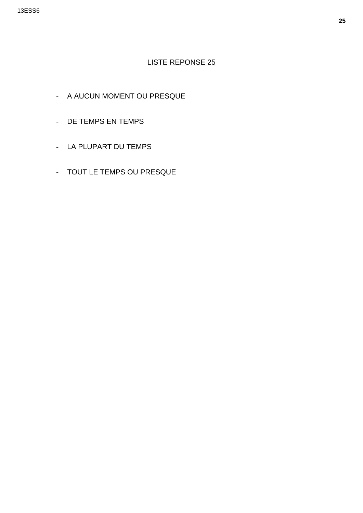- A AUCUN MOMENT OU PRESQUE
- DE TEMPS EN TEMPS
- LA PLUPART DU TEMPS
- TOUT LE TEMPS OU PRESQUE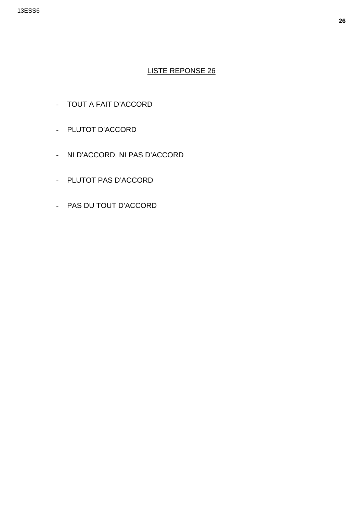- TOUT A FAIT D'ACCORD
- PLUTOT D'ACCORD
- NI D'ACCORD, NI PAS D'ACCORD
- PLUTOT PAS D'ACCORD
- PAS DU TOUT D'ACCORD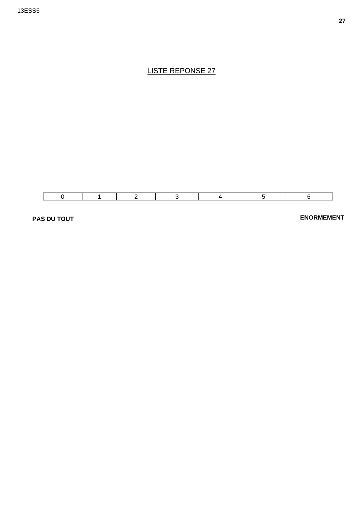

**PAS DU TOUT** 

**ENORMEMENT**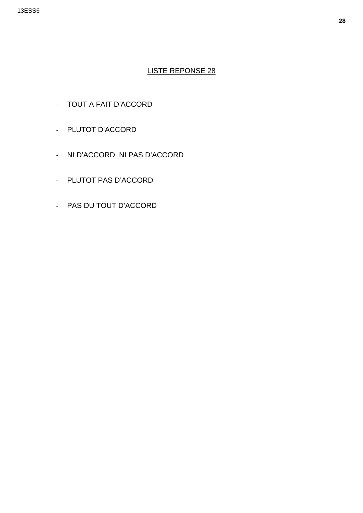- TOUT A FAIT D'ACCORD
- PLUTOT D'ACCORD
- NI D'ACCORD, NI PAS D'ACCORD
- PLUTOT PAS D'ACCORD
- PAS DU TOUT D'ACCORD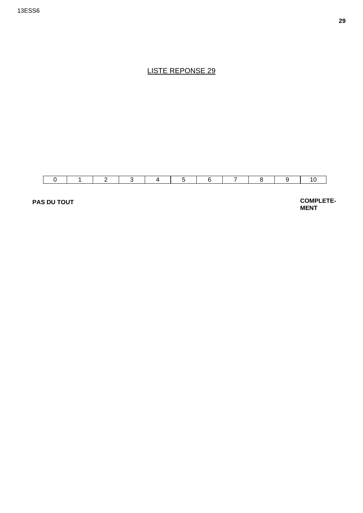

**PAS DU TOUT** 

**COMPLETE-MENT**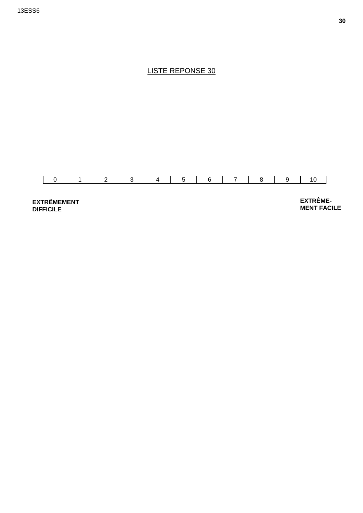

**EXTRÊMEMENT DIFFICILE** 

**EXTRÊME-MENT FACILE**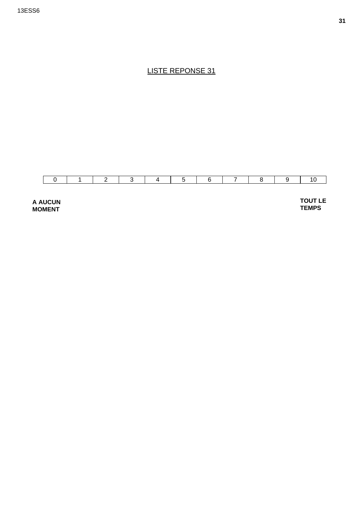

**A AUCUN MOMENT** 

**TOUT LE TEMPS**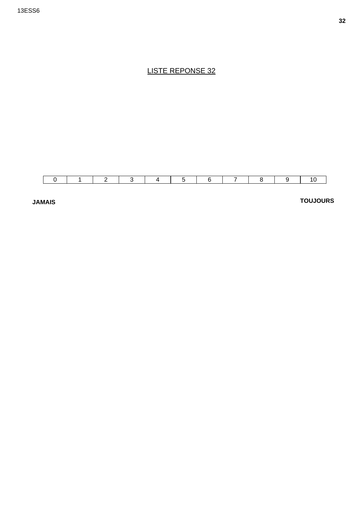

**JAMAIS** 

**TOUJOURS**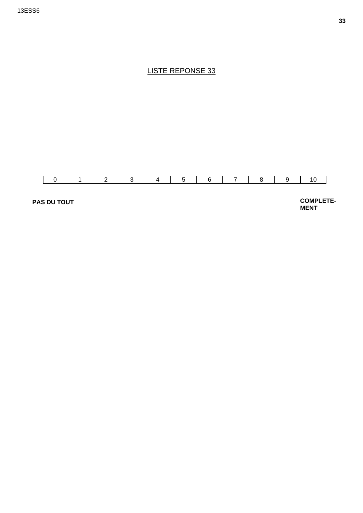

**PAS DU TOUT** 

**COMPLETE-MENT**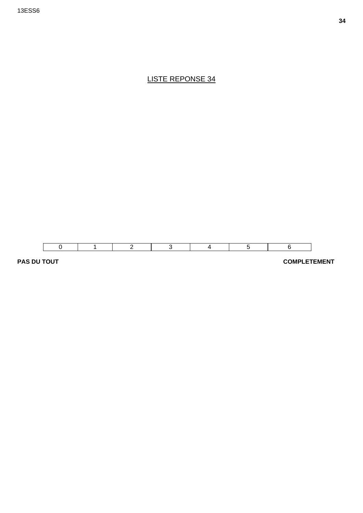

**PAS DU TOUT COMPLETEMENT**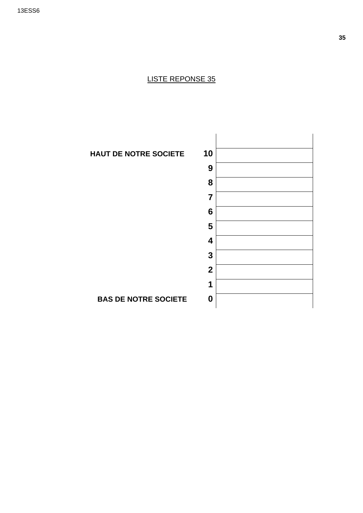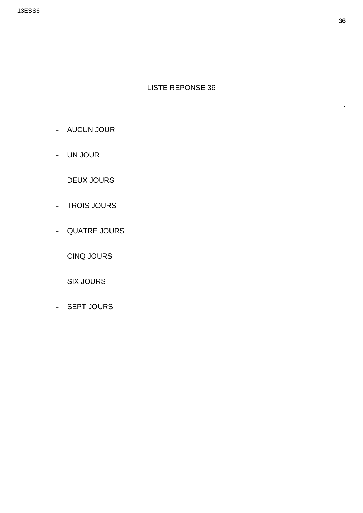- AUCUN JOUR
- UN JOUR
- DEUX JOURS
- TROIS JOURS
- QUATRE JOURS
- CINQ JOURS
- SIX JOURS
- SEPT JOURS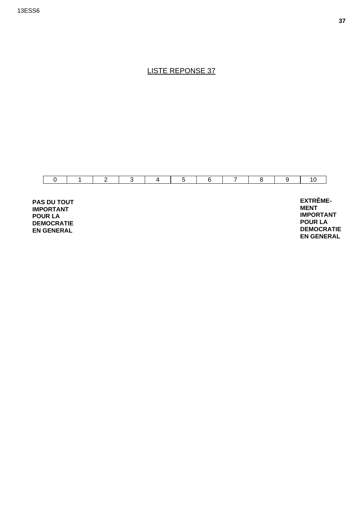

**IMPORTANT POUR LA DEMOCRATIE EN GENERAL** 

**MENT IMPORTANT POUR LA DEMOCRATIE EN GENERAL**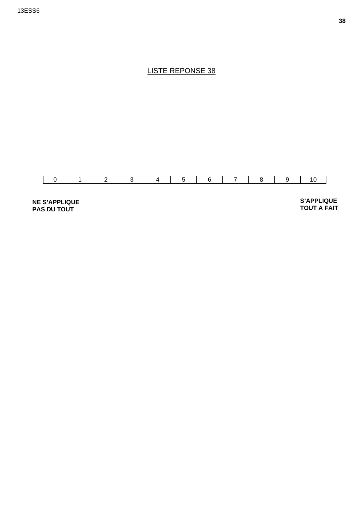

**NE S'APPLIQUE PAS DU TOUT** 

**S'APPLIQUE TOUT A FAIT**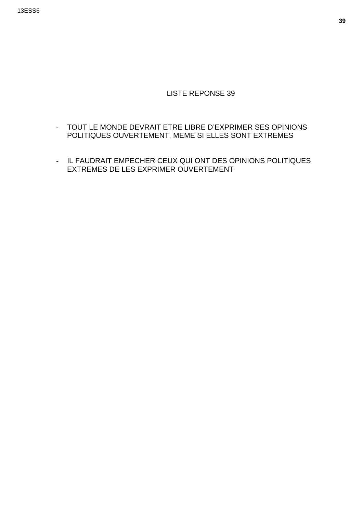- TOUT LE MONDE DEVRAIT ETRE LIBRE D'EXPRIMER SES OPINIONS POLITIQUES OUVERTEMENT, MEME SI ELLES SONT EXTREMES
- IL FAUDRAIT EMPECHER CEUX QUI ONT DES OPINIONS POLITIQUES EXTREMES DE LES EXPRIMER OUVERTEMENT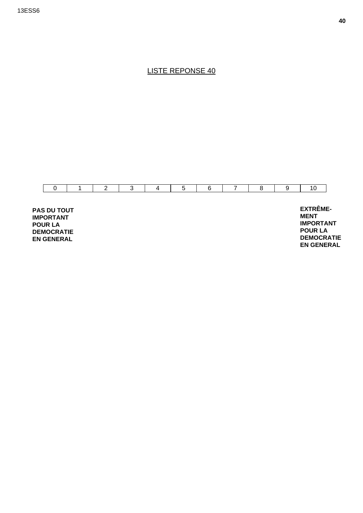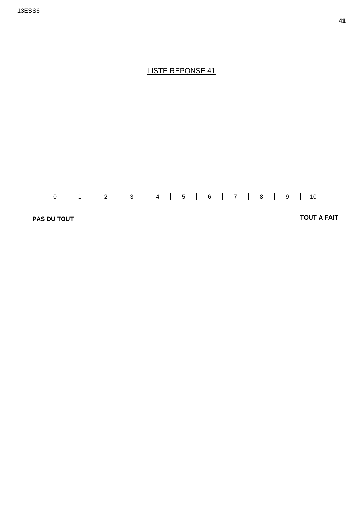

**PAS DU TOUT** 

**TOUT A FAIT**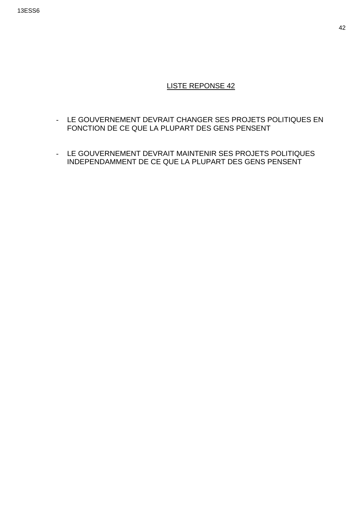- LE GOUVERNEMENT DEVRAIT CHANGER SES PROJETS POLITIQUES EN FONCTION DE CE QUE LA PLUPART DES GENS PENSENT
- LE GOUVERNEMENT DEVRAIT MAINTENIR SES PROJETS POLITIQUES INDEPENDAMMENT DE CE QUE LA PLUPART DES GENS PENSENT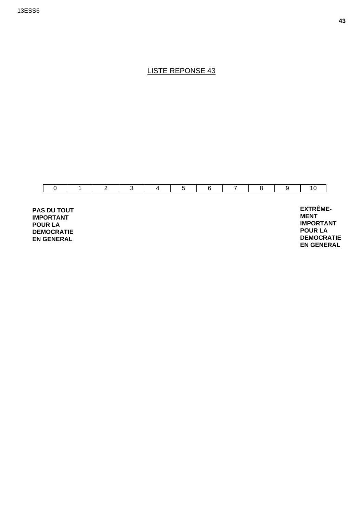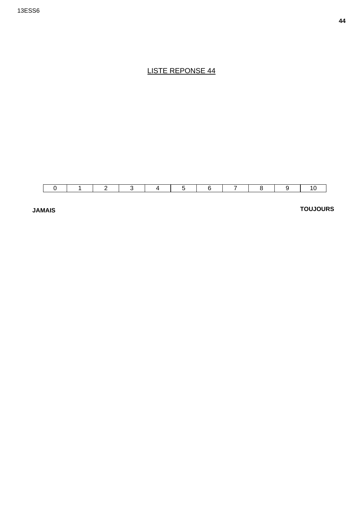

**JAMAIS** 

### **TOUJOURS**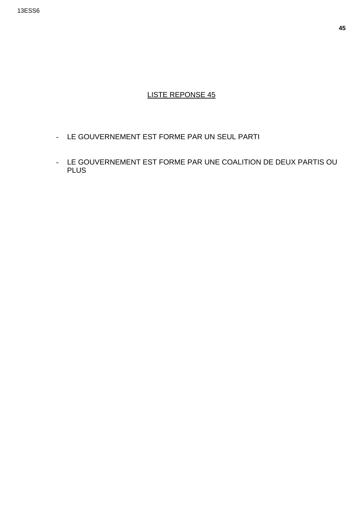- LE GOUVERNEMENT EST FORME PAR UN SEUL PARTI
- LE GOUVERNEMENT EST FORME PAR UNE COALITION DE DEUX PARTIS OU **PLUS**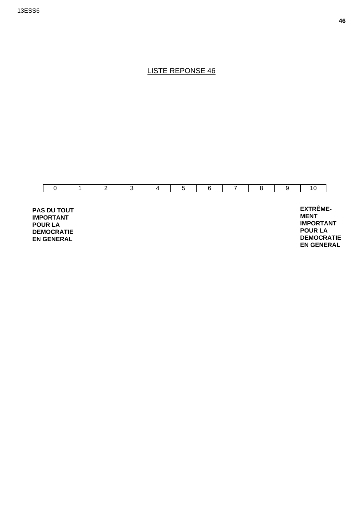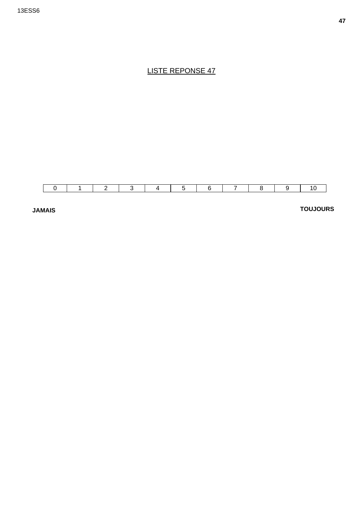

**JAMAIS** 

**TOUJOURS**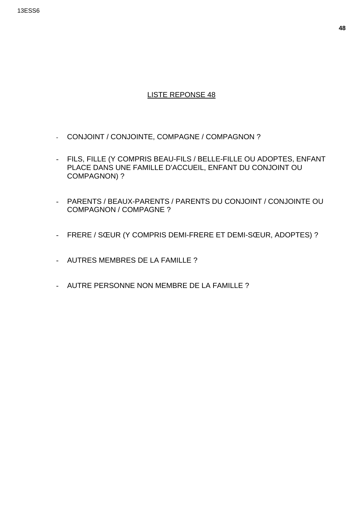- CONJOINT / CONJOINTE, COMPAGNE / COMPAGNON ?
- FILS, FILLE (Y COMPRIS BEAU-FILS / BELLE-FILLE OU ADOPTES, ENFANT PLACE DANS UNE FAMILLE D'ACCUEIL, ENFANT DU CONJOINT OU COMPAGNON) ?
- PARENTS / BEAUX-PARENTS / PARENTS DU CONJOINT / CONJOINTE OU COMPAGNON / COMPAGNE ?
- FRERE / SŒUR (Y COMPRIS DEMI-FRERE ET DEMI-SŒUR, ADOPTES) ?
- AUTRES MEMBRES DE LA FAMILLE ?
- AUTRE PERSONNE NON MEMBRE DE LA FAMILLE ?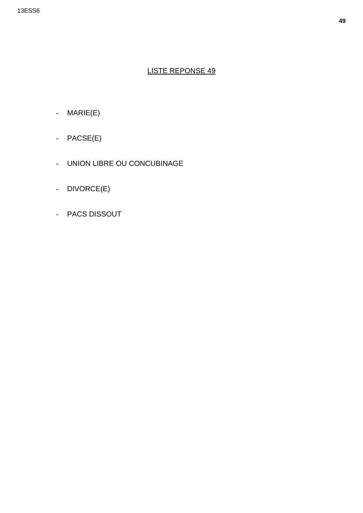- MARIE(E)
- PACSE(E)
- UNION LIBRE OU CONCUBINAGE
- DIVORCE(E)
- PACS DISSOUT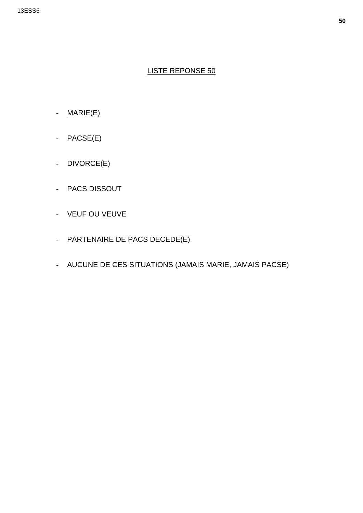- MARIE(E)
- PACSE(E)
- DIVORCE(E)
- PACS DISSOUT
- VEUF OU VEUVE
- PARTENAIRE DE PACS DECEDE(E)
- AUCUNE DE CES SITUATIONS (JAMAIS MARIE, JAMAIS PACSE)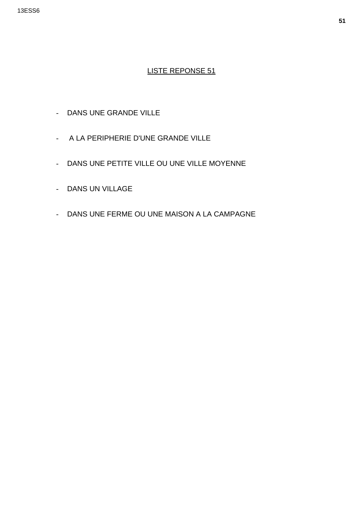- DANS UNE GRANDE VILLE
- A LA PERIPHERIE D'UNE GRANDE VILLE
- DANS UNE PETITE VILLE OU UNE VILLE MOYENNE
- DANS UN VILLAGE
- DANS UNE FERME OU UNE MAISON A LA CAMPAGNE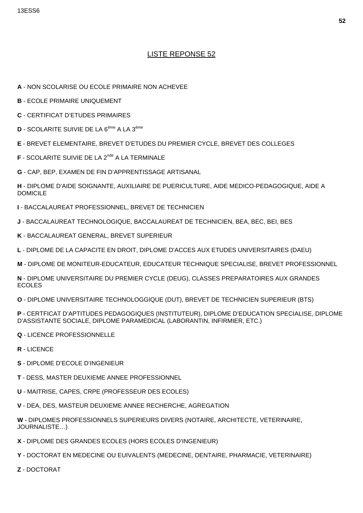- A NON SCOLARISE OU ECOLE PRIMAIRE NON ACHEVEE
- **B** ECOLE PRIMAIRE UNIQUEMENT
- **C** CERTIFICAT D'ETUDES PRIMAIRES
- D SCOLARITE SUIVIE DE LA 6<sup>ème</sup> A LA 3<sup>ème</sup>
- E BREVET ELEMENTAIRE, BREVET D'ETUDES DU PREMIER CYCLE, BREVET DES COLLEGES
- **F** SCOLARITE SUIVIE DE LA 2<sup>nde</sup> A LA TERMINALE
- G CAP, BEP, EXAMEN DE FIN D'APPRENTISSAGE ARTISANAL
- H DIPLOME D'AIDE SOIGNANTE, AUXILIAIRE DE PUERICULTURE, AIDE MEDICO-PEDAGOGIQUE, AIDE A **DOMICILE**
- I BACCALAUREAT PROFESSIONNEL, BREVET DE TECHNICIEN
- J BACCALAUREAT TECHNOLOGIQUE, BACCALAUREAT DE TECHNICIEN, BEA, BEC, BEI, BES
- K BACCALAUREAT GENERAL, BREVET SUPERIEUR
- L DIPLOME DE LA CAPACITE EN DROIT, DIPLOME D'ACCES AUX ETUDES UNIVERSITAIRES (DAEU)
- M DIPLOME DE MONITEUR-EDUCATEUR, EDUCATEUR TECHNIQUE SPECIALISE, BREVET PROFESSIONNEL
- N DIPLOME UNIVERSITAIRE DU PREMIER CYCLE (DEUG), CLASSES PREPARATOIRES AUX GRANDES **ECOLES**
- O DIPLOME UNIVERSITAIRE TECHNOLOGGIQUE (DUT), BREVET DE TECHNICIEN SUPERIEUR (BTS)
- P CERTFICAT D'APTITUDES PEDAGOGIQUES (INSTITUTEUR), DIPLOME D'EDUCATION SPECIALISE, DIPLOME D'ASSISTANTE SOCIALE, DIPLOME PARAMEDICAL (LABORANTIN, INFIRMIER, ETC.)
- **Q LICENCE PROFESSIONNELLE**
- R LICENCE
- S DIPLOME D'ECOLE D'INGENIEUR
- T DESS, MASTER DEUXIEME ANNEE PROFESSIONNEL
- U MAITRISE, CAPES, CRPE (PROFESSEUR DES ECOLES)
- V DEA, DES, MASTEUR DEUXIEME ANNEE RECHERCHE, AGREGATION
- W DIPLOMES PROFESSIONNELS SUPERIEURS DIVERS (NOTAIRE, ARCHITECTE, VETERINAIRE, JOURNALISTE...)
- X DIPLOME DES GRANDES ECOLES (HORS ECOLES D'INGENIEUR)
- Y DOCTORAT EN MEDECINE OU EUIVALENTS (MEDECINE, DENTAIRE, PHARMACIE, VETERINAIRE)
- Z DOCTORAT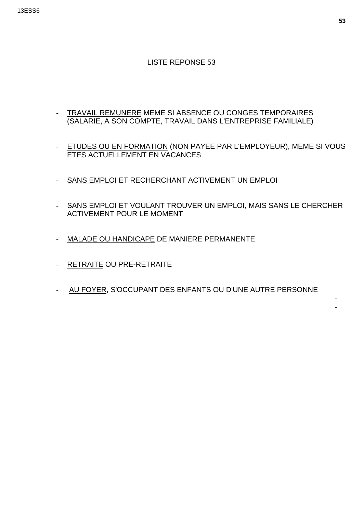#### 13ESS6

## LISTE REPONSE 53

- TRAVAIL REMUNERE MEME SI ABSENCE OU CONGES TEMPORAIRES (SALARIE, A SON COMPTE, TRAVAIL DANS L'ENTREPRISE FAMILIALE)
- ETUDES OU EN FORMATION (NON PAYEE PAR L'EMPLOYEUR), MEME SI VOUS ETES ACTUELLEMENT EN VACANCES
- SANS EMPLOI ET RECHERCHANT ACTIVEMENT UN EMPLOI
- SANS EMPLOI ET VOULANT TROUVER UN EMPLOI, MAIS SANS LE CHERCHER ACTIVEMENT POUR LE MOMENT
- MALADE OU HANDICAPE DE MANIERE PERMANENTE
- RETRAITE OU PRE-RETRAITE
- AU FOYER, S'OCCUPANT DES ENFANTS OU D'UNE AUTRE PERSONNE

- -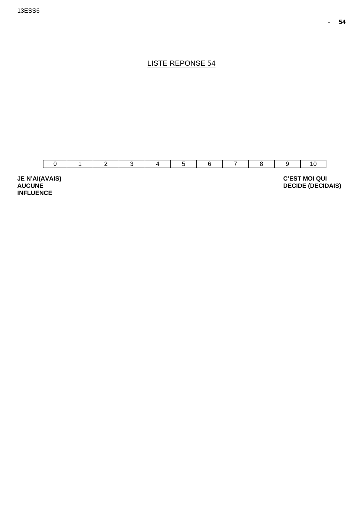**DECIDE (DECIDAIS)** 

LISTE REPONSE 54



**AUCUNE INFLUENCE**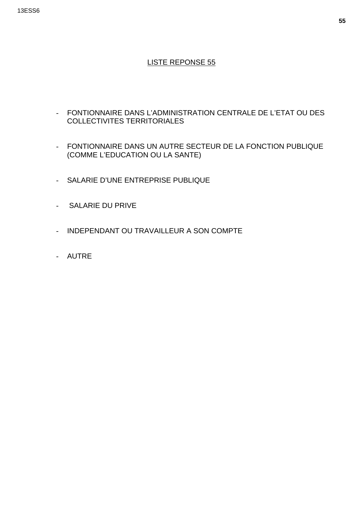#### 13ESS6

- FONTIONNAIRE DANS L'ADMINISTRATION CENTRALE DE L'ETAT OU DES COLLECTIVITES TERRITORIALES
- FONTIONNAIRE DANS UN AUTRE SECTEUR DE LA FONCTION PUBLIQUE (COMME L'EDUCATION OU LA SANTE)
- SALARIE D'UNE ENTREPRISE PUBLIQUE
- SALARIE DU PRIVE
- INDEPENDANT OU TRAVAILLEUR A SON COMPTE
- AUTRE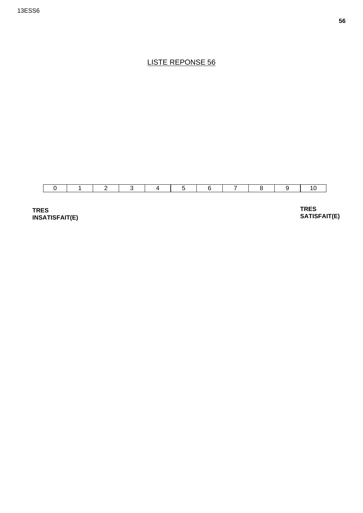

**TRES INSATISFAIT(E)**  **TRES SATISFAIT(E)**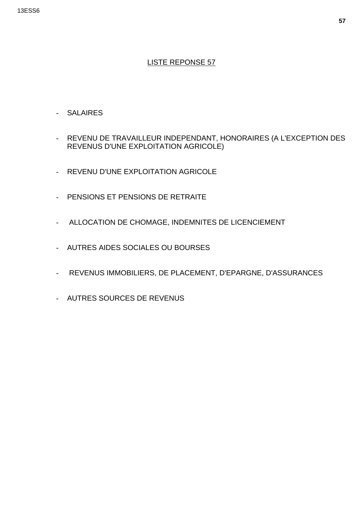- SALAIRES
- REVENU DE TRAVAILLEUR INDEPENDANT, HONORAIRES (A L'EXCEPTION DES REVENUS D'UNE EXPLOITATION AGRICOLE)
- REVENU D'UNE EXPLOITATION AGRICOLE
- PENSIONS ET PENSIONS DE RETRAITE
- ALLOCATION DE CHOMAGE, INDEMNITES DE LICENCIEMENT
- AUTRES AIDES SOCIALES OU BOURSES
- REVENUS IMMOBILIERS, DE PLACEMENT, D'EPARGNE, D'ASSURANCES
- AUTRES SOURCES DE REVENUS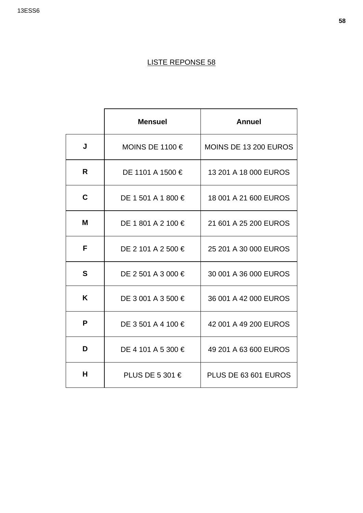#### 13ESS6

|   | <b>Mensuel</b>     | <b>Annuel</b>         |
|---|--------------------|-----------------------|
| J | MOINS DE 1100 €    | MOINS DE 13 200 EUROS |
| R | DE 1101 A 1500 €   | 13 201 A 18 000 EUROS |
| C | DE 1 501 A 1 800 € | 18 001 A 21 600 EUROS |
| M | DE 1 801 A 2 100 € | 21 601 A 25 200 EUROS |
| F | DE 2 101 A 2 500 € | 25 201 A 30 000 EUROS |
| S | DE 2 501 A 3 000 € | 30 001 A 36 000 EUROS |
| Κ | DE 3 001 A 3 500 € | 36 001 A 42 000 EUROS |
| P | DE 3 501 A 4 100 € | 42 001 A 49 200 EUROS |
| D | DE 4 101 A 5 300 € | 49 201 A 63 600 EUROS |
| н | PLUS DE 5 301 €    | PLUS DE 63 601 EUROS  |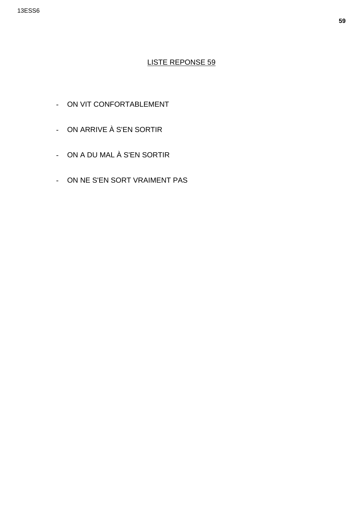- ON VIT CONFORTABLEMENT
- ON ARRIVE À S'EN SORTIR
- ON A DU MAL À S'EN SORTIR
- ON NE S'EN SORT VRAIMENT PAS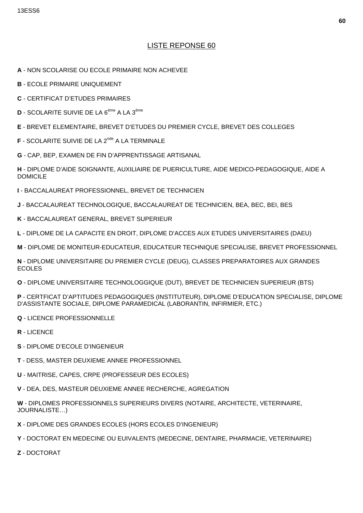- A NON SCOLARISE OU ECOLE PRIMAIRE NON ACHEVEE
- **B** ECOLE PRIMAIRE UNIQUEMENT
- **C** CERTIFICAT D'ETUDES PRIMAIRES
- **D** SCOLARITE SUIVIE DE LA 6<sup>ème</sup> A LA 3<sup>ème</sup>
- E BREVET ELEMENTAIRE. BREVET D'ETUDES DU PREMIER CYCLE. BREVET DES COLLEGES
- F SCOLARITE SUIVIE DE LA 2<sup>nde</sup> A LA TERMINALE
- G CAP, BEP, EXAMEN DE FIN D'APPRENTISSAGE ARTISANAL

H - DIPLOME D'AIDE SOIGNANTE, AUXILIAIRE DE PUERICULTURE, AIDE MEDICO-PEDAGOGIQUE, AIDE A **DOMICILE** 

- I BACCALAUREAT PROFESSIONNEL. BREVET DE TECHNICIEN
- J BACCALAUREAT TECHNOLOGIQUE, BACCALAUREAT DE TECHNICIEN, BEA, BEC, BEI, BES
- K BACCALAUREAT GENERAL, BREVET SUPERIEUR
- L DIPLOME DE LA CAPACITE EN DROIT, DIPLOME D'ACCES AUX ETUDES UNIVERSITAIRES (DAEU)
- M DIPLOME DE MONITEUR-EDUCATEUR, EDUCATEUR TECHNIQUE SPECIALISE, BREVET PROFESSIONNEL

N - DIPLOME UNIVERSITAIRE DU PREMIER CYCLE (DEUG), CLASSES PREPARATOIRES AUX GRANDES **ECOLES** 

O - DIPLOME UNIVERSITAIRE TECHNOLOGGIQUE (DUT), BREVET DE TECHNICIEN SUPERIEUR (BTS)

P - CERTFICAT D'APTITUDES PEDAGOGIQUES (INSTITUTEUR), DIPLOME D'EDUCATION SPECIALISE, DIPLOME D'ASSISTANTE SOCIALE, DIPLOME PARAMEDICAL (LABORANTIN, INFIRMIER, ETC.)

- **Q LICENCE PROFESSIONNELLE**
- R-LICENCE
- S DIPLOME D'ECOLE D'INGENIEUR
- T DESS, MASTER DEUXIEME ANNEE PROFESSIONNEL
- U MAITRISE, CAPES, CRPE (PROFESSEUR DES ECOLES)
- V DEA, DES, MASTEUR DEUXIEME ANNEE RECHERCHE, AGREGATION

W - DIPLOMES PROFESSIONNELS SUPERIEURS DIVERS (NOTAIRE, ARCHITECTE, VETERINAIRE, JOURNALISTE...)

- X DIPLOME DES GRANDES ECOLES (HORS ECOLES D'INGENIEUR)
- Y DOCTORAT EN MEDECINE OU EUIVALENTS (MEDECINE, DENTAIRE, PHARMACIE, VETERINAIRE)
- Z DOCTORAT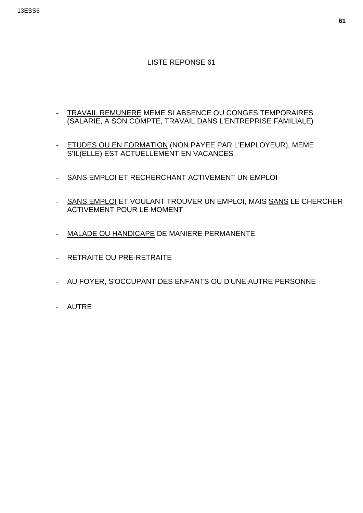#### 13ESS6

- TRAVAIL REMUNERE MEME SI ABSENCE OU CONGES TEMPORAIRES (SALARIE, A SON COMPTE, TRAVAIL DANS L'ENTREPRISE FAMILIALE)
- ETUDES OU EN FORMATION (NON PAYEE PAR L'EMPLOYEUR), MEME S'IL(ELLE) EST ACTUELLEMENT EN VACANCES
- SANS EMPLOI ET RECHERCHANT ACTIVEMENT UN EMPLOI
- SANS EMPLOI ET VOULANT TROUVER UN EMPLOI, MAIS SANS LE CHERCHER ACTIVEMENT POUR LE MOMENT
- MALADE OU HANDICAPE DE MANIERE PERMANENTE
- RETRAITE OU PRE-RETRAITE
- AU FOYER, S'OCCUPANT DES ENFANTS OU D'UNE AUTRE PERSONNE
- AUTRE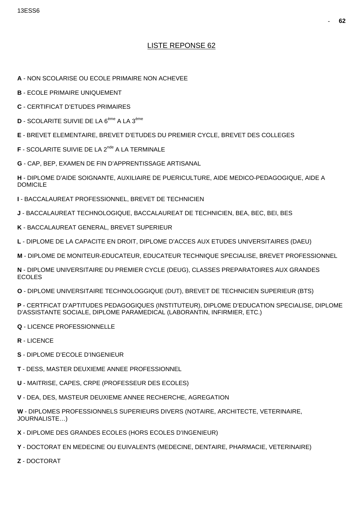- A NON SCOLARISE OU ECOLE PRIMAIRE NON ACHEVEE
- **B** ECOLE PRIMAIRE UNIQUEMENT
- **C** CERTIFICAT D'ETUDES PRIMAIRES
- **D** SCOLARITE SUIVIE DE LA 6<sup>ème</sup> A LA 3<sup>ème</sup>
- E BREVET ELEMENTAIRE, BREVET D'ETUDES DU PREMIER CYCLE, BREVET DES COLLEGES
- **F** SCOLARITE SUIVIE DE LA 2<sup>nde</sup> A LA TERMINALE
- G CAP, BEP, EXAMEN DE FIN D'APPRENTISSAGE ARTISANAL

H - DIPLOME D'AIDE SOIGNANTE, AUXILIAIRE DE PUERICULTURE, AIDE MEDICO-PEDAGOGIQUE, AIDE A **DOMICILE** 

- I BACCALAUREAT PROFESSIONNEL. BREVET DE TECHNICIEN
- J BACCALAUREAT TECHNOLOGIQUE, BACCALAUREAT DE TECHNICIEN, BEA, BEC, BEI, BES
- K BACCALAUREAT GENERAL, BREVET SUPERIEUR
- L DIPLOME DE LA CAPACITE EN DROIT, DIPLOME D'ACCES AUX ETUDES UNIVERSITAIRES (DAEU)
- M DIPLOME DE MONITEUR-EDUCATEUR, EDUCATEUR TECHNIQUE SPECIALISE, BREVET PROFESSIONNEL

N - DIPLOME UNIVERSITAIRE DU PREMIER CYCLE (DEUG), CLASSES PREPARATOIRES AUX GRANDES **ECOLES** 

O - DIPLOME UNIVERSITAIRE TECHNOLOGGIQUE (DUT), BREVET DE TECHNICIEN SUPERIEUR (BTS)

P - CERTFICAT D'APTITUDES PEDAGOGIQUES (INSTITUTEUR), DIPLOME D'EDUCATION SPECIALISE, DIPLOME D'ASSISTANTE SOCIALE. DIPLOME PARAMEDICAL (LABORANTIN, INFIRMIER, ETC.)

- Q LICENCE PROFESSIONNELLE
- R LICENCE
- S DIPLOME D'ECOLE D'INGENIEUR
- T DESS, MASTER DEUXIEME ANNEE PROFESSIONNEL
- U MAITRISE, CAPES, CRPE (PROFESSEUR DES ECOLES)
- V DEA, DES, MASTEUR DEUXIEME ANNEE RECHERCHE, AGREGATION

W - DIPLOMES PROFESSIONNELS SUPERIEURS DIVERS (NOTAIRE, ARCHITECTE, VETERINAIRE, JOURNALISTE...)

- X DIPLOME DES GRANDES ECOLES (HORS ECOLES D'INGENIEUR)
- Y DOCTORAT EN MEDECINE OU EUIVALENTS (MEDECINE, DENTAIRE, PHARMACIE, VETERINAIRE)
- Z DOCTORAT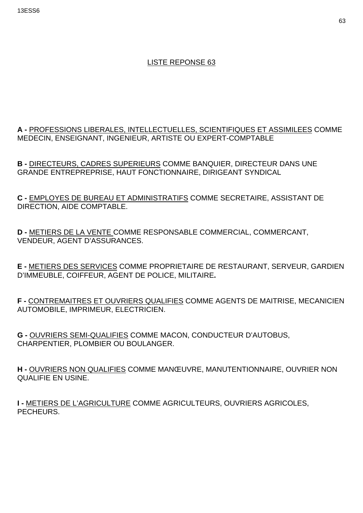13ESS6

# LISTE REPONSE 63

**A -** PROFESSIONS LIBERALES, INTELLECTUELLES, SCIENTIFIQUES ET ASSIMILEES COMME MEDECIN, ENSEIGNANT, INGENIEUR, ARTISTE OU EXPERT-COMPTABLE

**B -** DIRECTEURS, CADRES SUPERIEURS COMME BANQUIER, DIRECTEUR DANS UNE GRANDE ENTREPREPRISE, HAUT FONCTIONNAIRE, DIRIGEANT SYNDICAL

**C -** EMPLOYES DE BUREAU ET ADMINISTRATIFS COMME SECRETAIRE, ASSISTANT DE DIRECTION, AIDE COMPTABLE.

**D -** METIERS DE LA VENTE COMME RESPONSABLE COMMERCIAL, COMMERCANT, VENDEUR, AGENT D'ASSURANCES.

**E -** METIERS DES SERVICES COMME PROPRIETAIRE DE RESTAURANT, SERVEUR, GARDIEN D'IMMEUBLE, COIFFEUR, AGENT DE POLICE, MILITAIRE**.** 

**F -** CONTREMAITRES ET OUVRIERS QUALIFIES COMME AGENTS DE MAITRISE, MECANICIEN AUTOMOBILE, IMPRIMEUR, ELECTRICIEN.

**G -** OUVRIERS SEMI-QUALIFIES COMME MACON, CONDUCTEUR D'AUTOBUS, CHARPENTIER, PLOMBIER OU BOULANGER.

**H -** OUVRIERS NON QUALIFIES COMME MANŒUVRE, MANUTENTIONNAIRE, OUVRIER NON QUALIFIE EN USINE.

**I -** METIERS DE L'AGRICULTURE COMME AGRICULTEURS, OUVRIERS AGRICOLES, PECHEURS.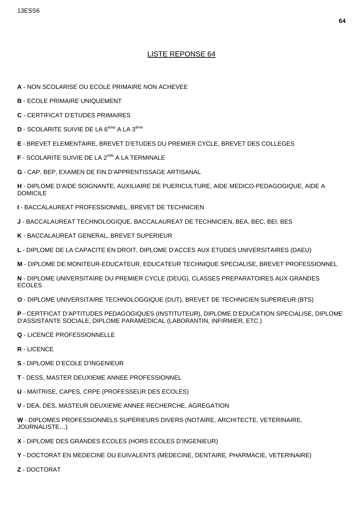- A NON SCOLARISE OU ECOLE PRIMAIRE NON ACHEVEE
- **B** ECOLE PRIMAIRE UNIQUEMENT
- **C** CERTIFICAT D'ETUDES PRIMAIRES
- D SCOLARITE SUIVIE DE LA 6<sup>ème</sup> A LA 3<sup>ème</sup>
- E BREVET ELEMENTAIRE, BREVET D'ETUDES DU PREMIER CYCLE, BREVET DES COLLEGES
- **F** SCOLARITE SUIVIE DE LA 2<sup>nde</sup> A LA TERMINALE
- G CAP, BEP, EXAMEN DE FIN D'APPRENTISSAGE ARTISANAL
- H DIPLOME D'AIDE SOIGNANTE, AUXILIAIRE DE PUERICULTURE, AIDE MEDICO-PEDAGOGIQUE, AIDE A **DOMICILE**
- I BACCALAUREAT PROFESSIONNEL, BREVET DE TECHNICIEN
- J BACCALAUREAT TECHNOLOGIQUE, BACCALAUREAT DE TECHNICIEN, BEA, BEC, BEI, BES
- K BACCALAUREAT GENERAL, BREVET SUPERIEUR
- L DIPLOME DE LA CAPACITE EN DROIT, DIPLOME D'ACCES AUX ETUDES UNIVERSITAIRES (DAEU)
- M DIPLOME DE MONITEUR-EDUCATEUR, EDUCATEUR TECHNIQUE SPECIALISE, BREVET PROFESSIONNEL
- N DIPLOME UNIVERSITAIRE DU PREMIER CYCLE (DEUG), CLASSES PREPARATOIRES AUX GRANDES **ECOLES**
- O DIPLOME UNIVERSITAIRE TECHNOLOGGIQUE (DUT), BREVET DE TECHNICIEN SUPERIEUR (BTS)
- P CERTFICAT D'APTITUDES PEDAGOGIQUES (INSTITUTEUR), DIPLOME D'EDUCATION SPECIALISE, DIPLOME D'ASSISTANTE SOCIALE, DIPLOME PARAMEDICAL (LABORANTIN, INFIRMIER, ETC.)
- **Q LICENCE PROFESSIONNELLE**
- R LICENCE
- S DIPLOME D'ECOLE D'INGENIEUR
- T DESS, MASTER DEUXIEME ANNEE PROFESSIONNEL
- U MAITRISE, CAPES, CRPE (PROFESSEUR DES ECOLES)
- V DEA, DES, MASTEUR DEUXIEME ANNEE RECHERCHE, AGREGATION
- W DIPLOMES PROFESSIONNELS SUPERIEURS DIVERS (NOTAIRE, ARCHITECTE, VETERINAIRE, JOURNALISTE...)
- X DIPLOME DES GRANDES ECOLES (HORS ECOLES D'INGENIEUR)
- Y DOCTORAT EN MEDECINE OU EUIVALENTS (MEDECINE, DENTAIRE, PHARMACIE, VETERINAIRE)
- Z DOCTORAT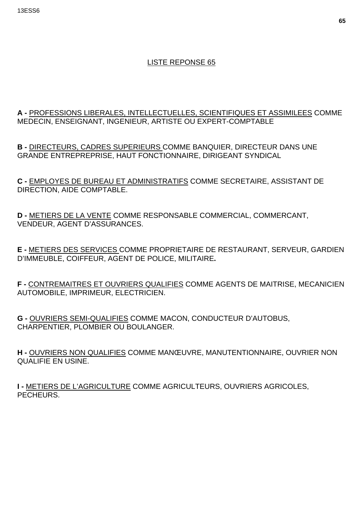### **A -** PROFESSIONS LIBERALES, INTELLECTUELLES, SCIENTIFIQUES ET ASSIMILEES COMME MEDECIN, ENSEIGNANT, INGENIEUR, ARTISTE OU EXPERT-COMPTABLE

**B -** DIRECTEURS, CADRES SUPERIEURS COMME BANQUIER, DIRECTEUR DANS UNE GRANDE ENTREPREPRISE, HAUT FONCTIONNAIRE, DIRIGEANT SYNDICAL

**C -** EMPLOYES DE BUREAU ET ADMINISTRATIFS COMME SECRETAIRE, ASSISTANT DE DIRECTION, AIDE COMPTABLE.

**D -** METIERS DE LA VENTE COMME RESPONSABLE COMMERCIAL, COMMERCANT, VENDEUR, AGENT D'ASSURANCES.

**E -** METIERS DES SERVICES COMME PROPRIETAIRE DE RESTAURANT, SERVEUR, GARDIEN D'IMMEUBLE, COIFFEUR, AGENT DE POLICE, MILITAIRE**.** 

**F -** CONTREMAITRES ET OUVRIERS QUALIFIES COMME AGENTS DE MAITRISE, MECANICIEN AUTOMOBILE, IMPRIMEUR, ELECTRICIEN.

**G -** OUVRIERS SEMI-QUALIFIES COMME MACON, CONDUCTEUR D'AUTOBUS, CHARPENTIER, PLOMBIER OU BOULANGER.

**H -** OUVRIERS NON QUALIFIES COMME MANŒUVRE, MANUTENTIONNAIRE, OUVRIER NON QUALIFIE EN USINE.

**I -** METIERS DE L'AGRICULTURE COMME AGRICULTEURS, OUVRIERS AGRICOLES, PECHEURS.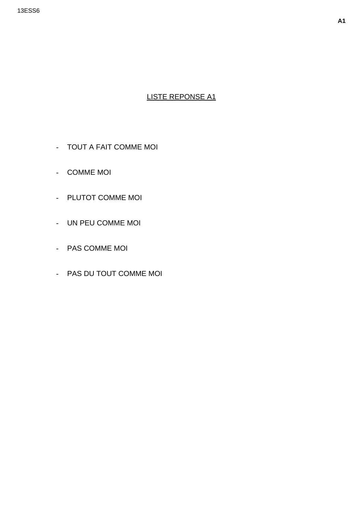- TOUT A FAIT COMME MOI
- COMME MOI
- PLUTOT COMME MOI
- UN PEU COMME MOI
- PAS COMME MOI
- PAS DU TOUT COMME MOI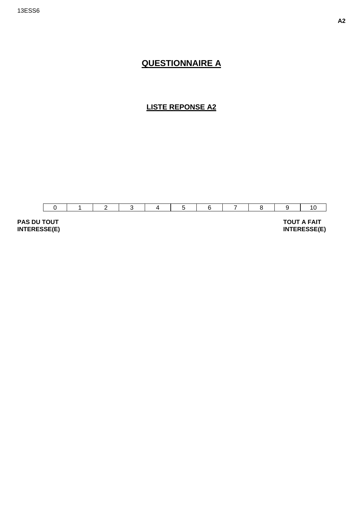## **QUESTIONNAIRE A**

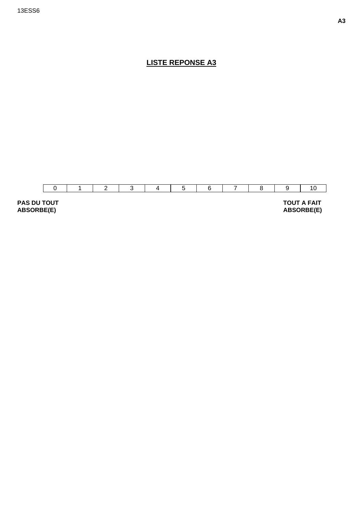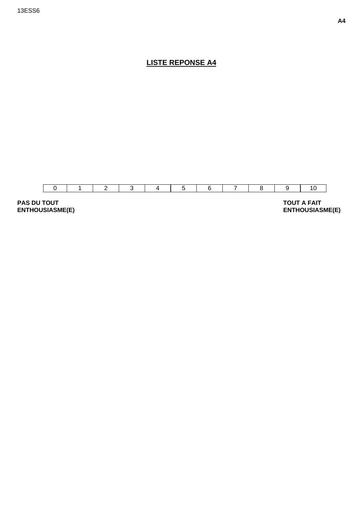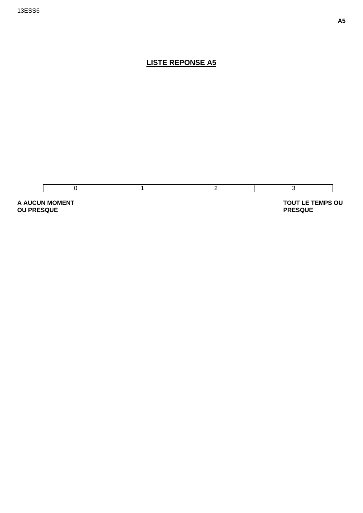

**A AUCUN MOMENT OU PRESQUE** 

 **TOUT LE TEMPS OU PRESQUE**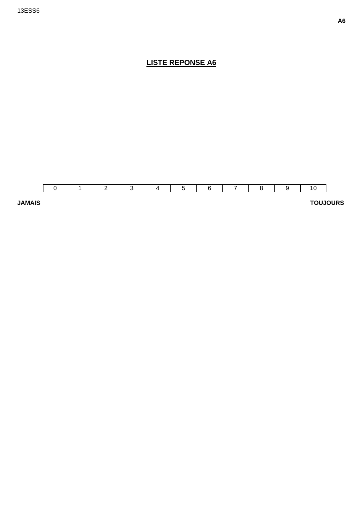

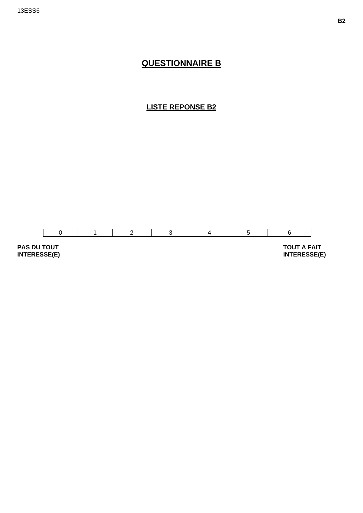## **QUESTIONNAIRE B**

#### **LISTE REPONSE B2**



**PAS DU TOUT INTERESSE(E)** 

 **TOUT A FAIT INTERESSE(E)**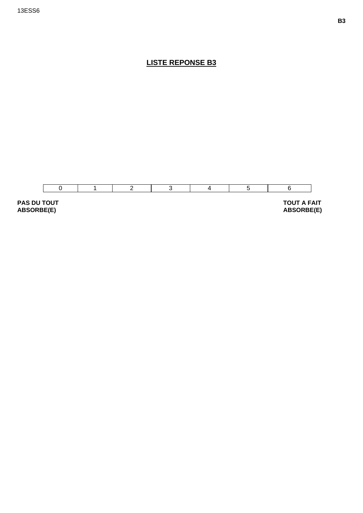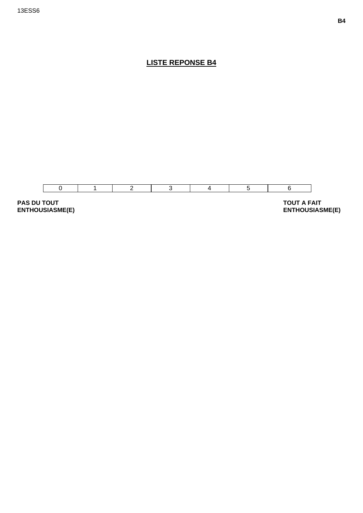

**ENTHOUSIASME(E)**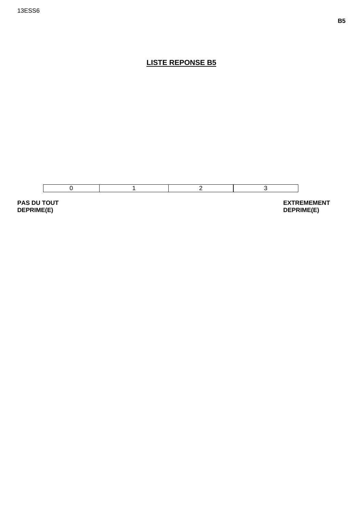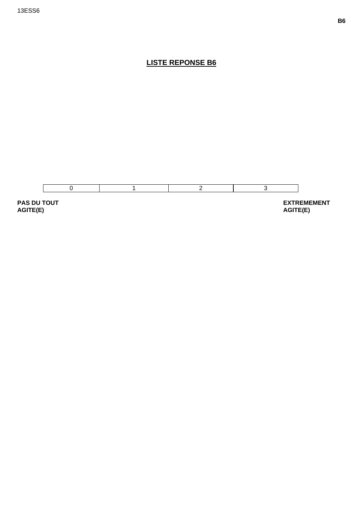

AGITE(E)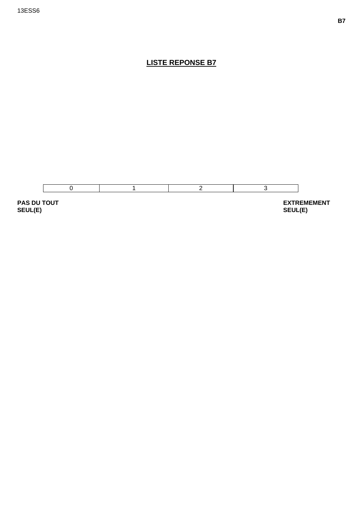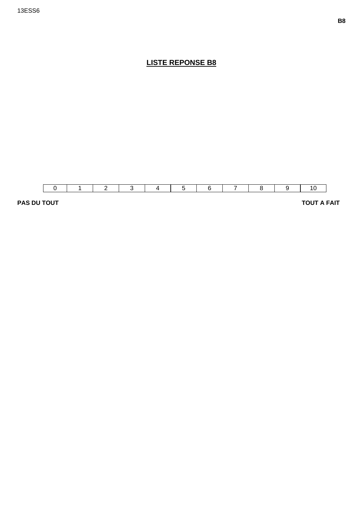

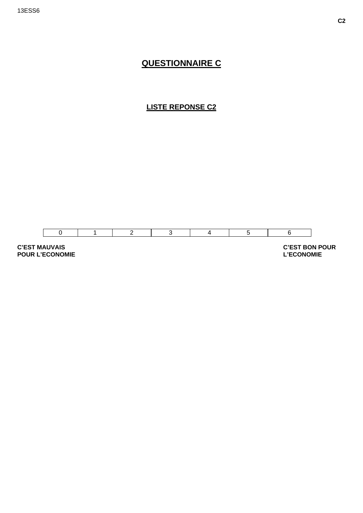## **QUESTIONNAIRE C**

### **LISTE REPONSE C2**



**C'EST MAUVAIS POUR L'ECONOMIE**   **C'EST BON POUR L'ECONOMIE**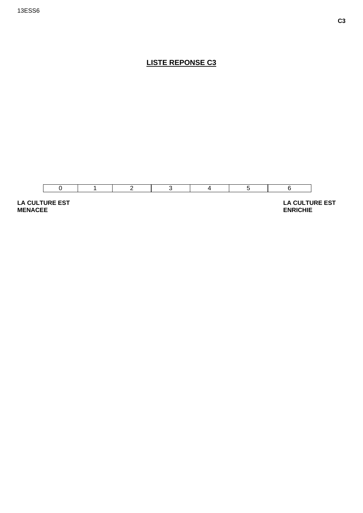

**C3**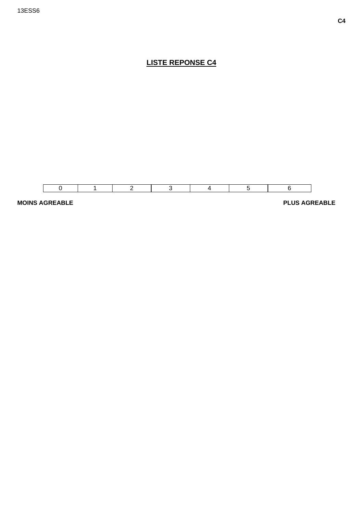

**MOINS AGREABLE** PLUS AGREABLE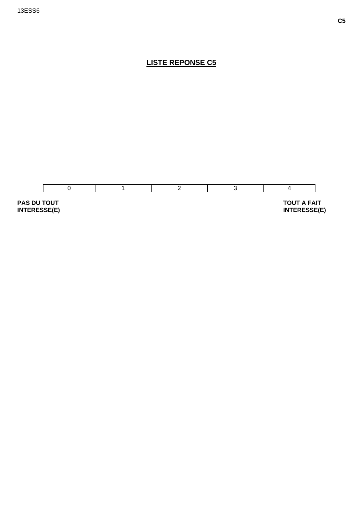

**INTERESSE(E)** 

**INTERESSE(E)**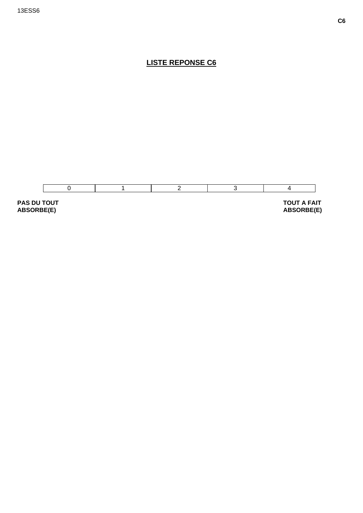

**ABSORBE(E)**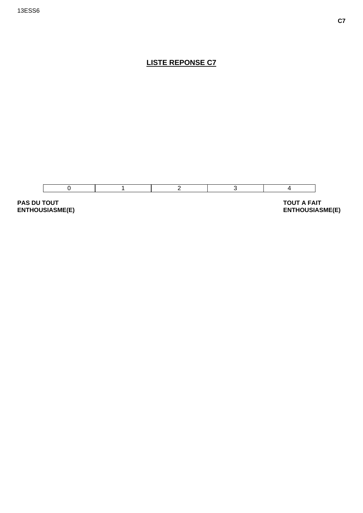

**PAS DU TOUT** ENTHOUSIASME(E)

**TOUT A FAIT ENTHOUSIASME(E)**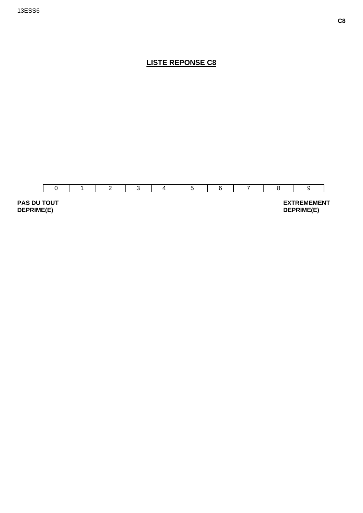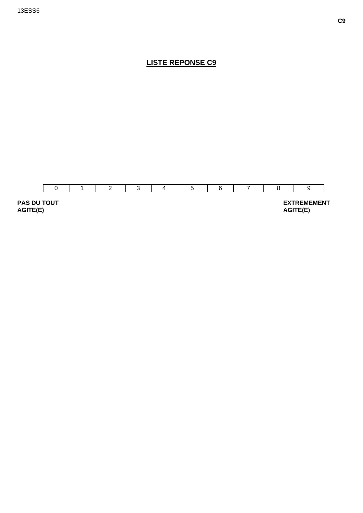

**AGITE(E)**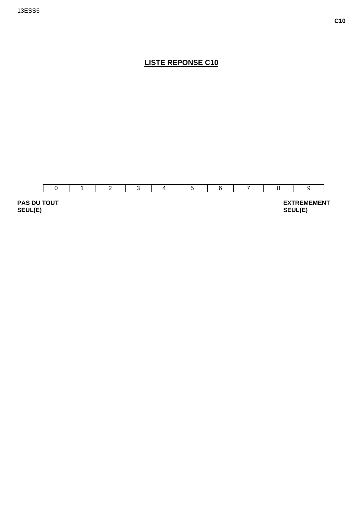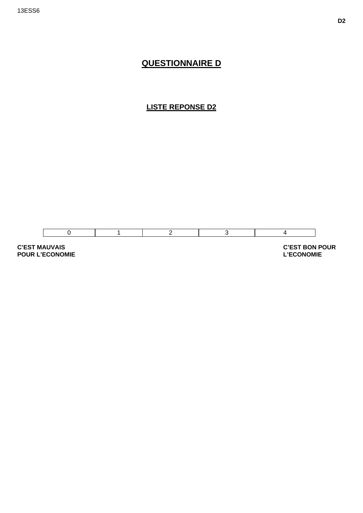## **QUESTIONNAIRE D**

**LISTE REPONSE D2** 



**C'EST MAUVAIS POUR L'ECONOMIE**  **C'EST BON POUR L'ECONOMIE**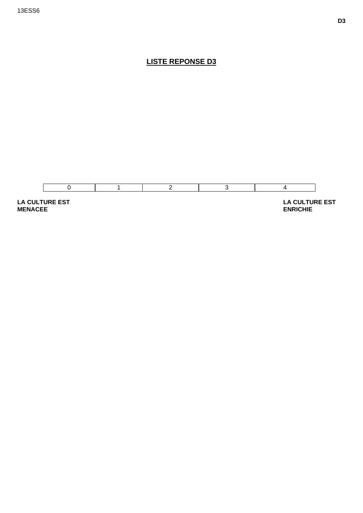

**LA CULTURE EST MENACEE** 

 **LA CULTURE EST ENRICHIE**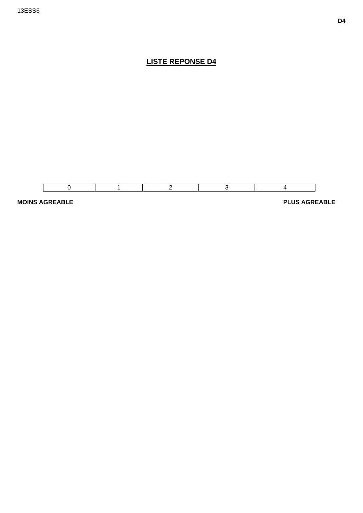



**MOINS AGREABLE** PLUS AGREABLE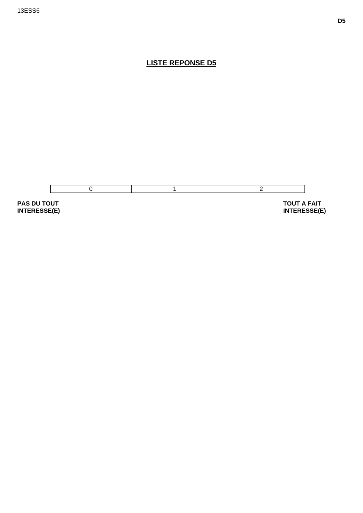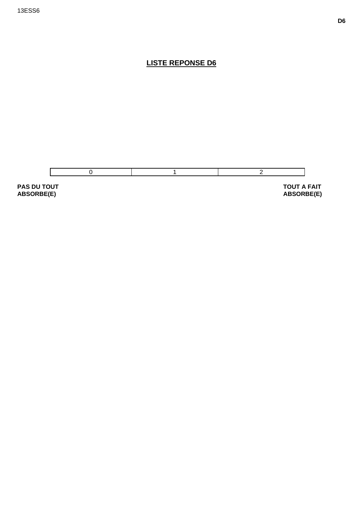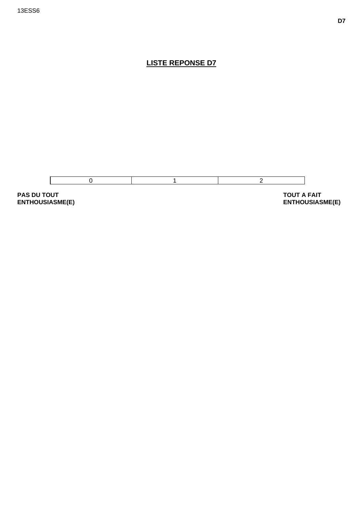

**ENTHOUSIASME(E)**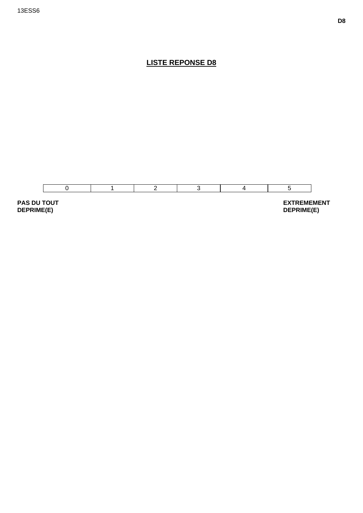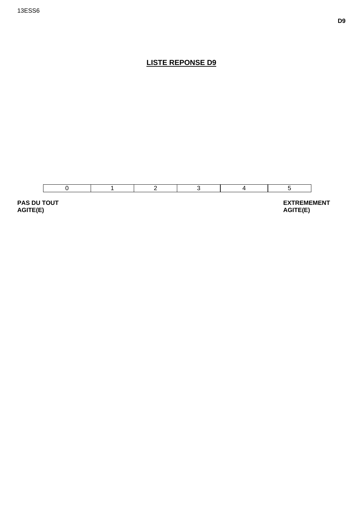

**AGITE(E)**